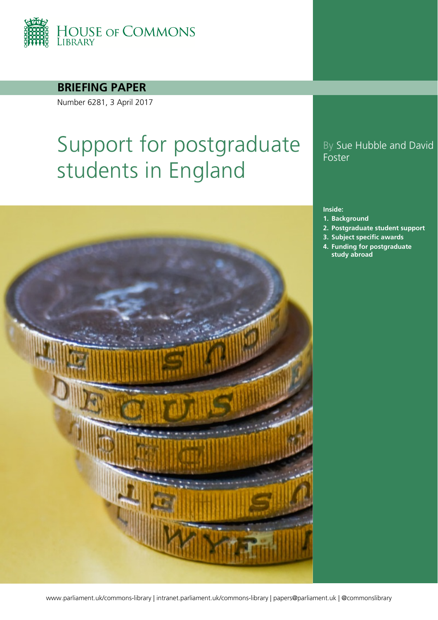

**BRIEFING PAPER**

Number 6281, 3 April 2017

# Support for postgraduate students in England

#### By Sue Hubble and David **Foster**

#### **Inside:**

- **1. [Background](#page-4-0)**
- **2. [Postgraduate student support](#page-5-0)**
- **3. [Subject specific awards](#page-9-0)**
- **4. [Funding for postgraduate](#page-14-0)  [study abroad](#page-14-0)**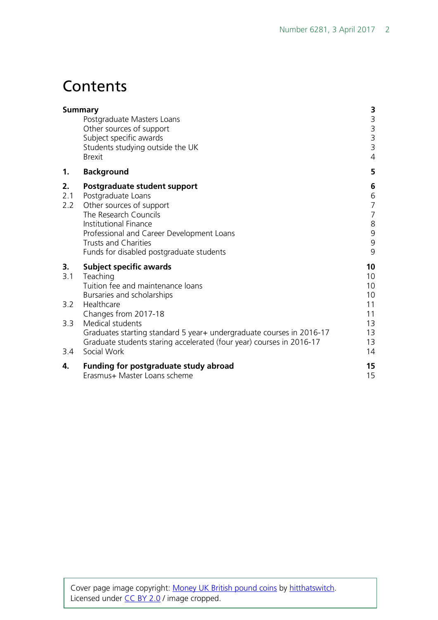# **Contents**

|                  | <b>Summary</b><br>Postgraduate Masters Loans<br>Other sources of support<br>Subject specific awards<br>Students studying outside the UK<br><b>Brexit</b>                                                                                                 | <b>3</b><br>3<br>3<br>3<br>3<br>$\overline{4}$                 |
|------------------|----------------------------------------------------------------------------------------------------------------------------------------------------------------------------------------------------------------------------------------------------------|----------------------------------------------------------------|
| 1.               | <b>Background</b>                                                                                                                                                                                                                                        | 5                                                              |
| 2.<br>2.1<br>2.2 | Postgraduate student support<br>Postgraduate Loans<br>Other sources of support<br>The Research Councils<br>Institutional Finance<br>Professional and Career Development Loans<br><b>Trusts and Charities</b><br>Funds for disabled postgraduate students | 6<br>6<br>$\overline{7}$<br>$\overline{7}$<br>8<br>9<br>9<br>9 |
| 3.<br>3.1        | <b>Subject specific awards</b><br>Teaching<br>Tuition fee and maintenance loans<br>Bursaries and scholarships                                                                                                                                            | 10<br>10<br>10<br>10                                           |
| 3.2              | Healthcare<br>Changes from 2017-18                                                                                                                                                                                                                       | 11<br>11                                                       |
| 3.3<br>3.4       | Medical students<br>Graduates starting standard 5 year+ undergraduate courses in 2016-17<br>Graduate students staring accelerated (four year) courses in 2016-17<br>Social Work                                                                          | 13<br>13<br>13<br>14                                           |
| 4.               | Funding for postgraduate study abroad<br>Erasmus+ Master Loans scheme                                                                                                                                                                                    | 15<br>15                                                       |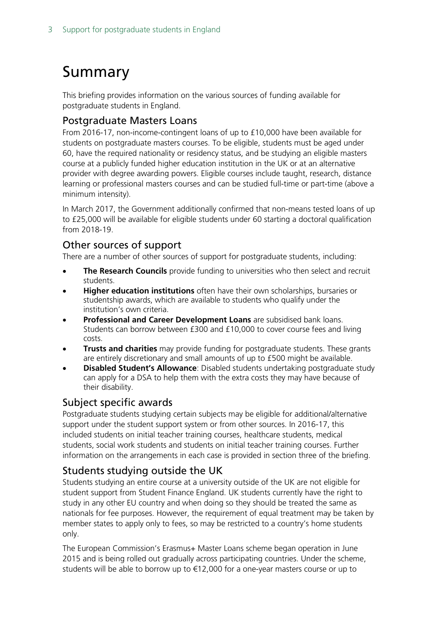# <span id="page-2-0"></span>Summary

This briefing provides information on the various sources of funding available for postgraduate students in England.

#### <span id="page-2-1"></span>Postgraduate Masters Loans

From 2016-17, non-income-contingent loans of up to £10,000 have been available for students on postgraduate masters courses. To be eligible, students must be aged under 60, have the required nationality or residency status, and be studying an eligible masters course at a publicly funded higher education institution in the UK or at an alternative provider with degree awarding powers. Eligible courses include taught, research, distance learning or professional masters courses and can be studied full-time or part-time (above a minimum intensity).

In March 2017, the Government additionally confirmed that non-means tested loans of up to £25,000 will be available for eligible students under 60 starting a doctoral qualification from 2018-19.

#### <span id="page-2-2"></span>Other sources of support

There are a number of other sources of support for postgraduate students, including:

- **The Research Councils** provide funding to universities who then select and recruit students.
- **Higher education institutions** often have their own scholarships, bursaries or studentship awards, which are available to students who qualify under the institution's own criteria.
- **Professional and Career Development Loans** are subsidised bank loans. Students can borrow between £300 and £10,000 to cover course fees and living costs.
- **Trusts and charities** may provide funding for postgraduate students. These grants are entirely discretionary and small amounts of up to £500 might be available.
- **Disabled Student's Allowance**: Disabled students undertaking postgraduate study can apply for a DSA to help them with the extra costs they may have because of their disability.

#### <span id="page-2-3"></span>Subject specific awards

Postgraduate students studying certain subjects may be eligible for additional/alternative support under the student support system or from other sources. In 2016-17, this included students on initial teacher training courses, healthcare students, medical students, social work students and students on initial teacher training courses. Further information on the arrangements in each case is provided in section three of the briefing.

#### <span id="page-2-4"></span>Students studying outside the UK

Students studying an entire course at a university outside of the UK are not eligible for student support from Student Finance England. UK students currently have the right to study in any other EU country and when doing so they should be treated the same as nationals for fee purposes. However, the requirement of equal treatment may be taken by member states to apply only to fees, so may be restricted to a country's home students only.

The European Commission's Erasmus+ Master Loans scheme began operation in June 2015 and is being rolled out gradually across participating countries. Under the scheme, students will be able to borrow up to €12,000 for a one-year masters course or up to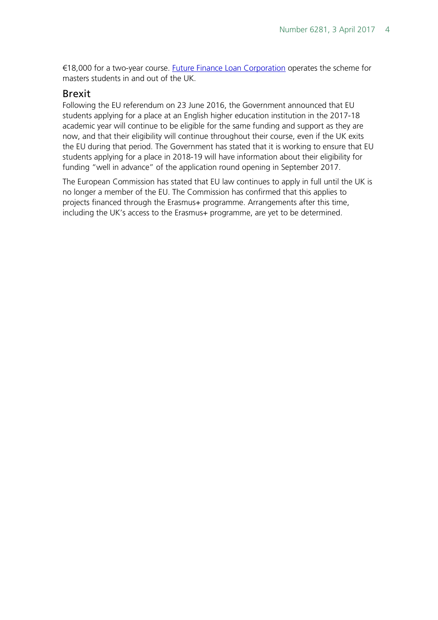€18,000 for a two-year course. [Future Finance Loan Corporation](https://www.futurefinance.com/uk/pages/eif/) operates the scheme for masters students in and out of the UK.

#### <span id="page-3-0"></span>Brexit

Following the EU referendum on 23 June 2016, the Government announced that EU students applying for a place at an English higher education institution in the 2017-18 academic year will continue to be eligible for the same funding and support as they are now, and that their eligibility will continue throughout their course, even if the UK exits the EU during that period. The Government has stated that it is working to ensure that EU students applying for a place in 2018-19 will have information about their eligibility for funding "well in advance" of the application round opening in September 2017.

The European Commission has stated that EU law continues to apply in full until the UK is no longer a member of the EU. The Commission has confirmed that this applies to projects financed through the Erasmus+ programme. Arrangements after this time, including the UK's access to the Erasmus+ programme, are yet to be determined.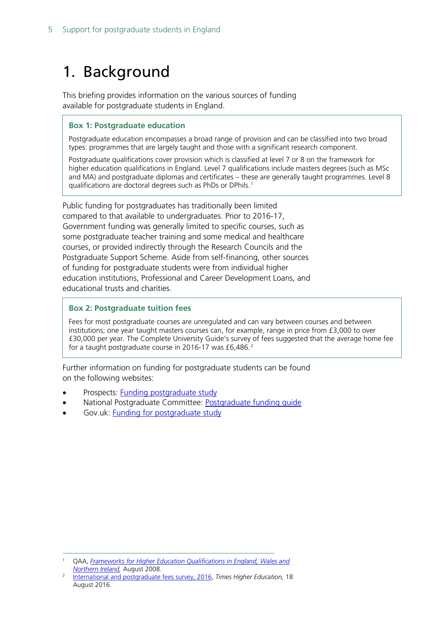# <span id="page-4-0"></span>1. Background

This briefing provides information on the various sources of funding available for postgraduate students in England.

#### **Box 1: Postgraduate education**

Postgraduate education encompasses a broad range of provision and can be classified into two broad types: programmes that are largely taught and those with a significant research component.

Postgraduate qualifications cover provision which is classified at level 7 or 8 on the framework for higher education qualifications in England. Level 7 qualifications include masters degrees (such as MSc and MA) and postgraduate diplomas and certificates – these are generally taught programmes. Level 8 qualifications are doctoral degrees such as PhDs or DPhils.[1](#page-4-1)

Public funding for postgraduates has traditionally been limited compared to that available to undergraduates. Prior to 2016-17, Government funding was generally limited to specific courses, such as some postgraduate teacher training and some medical and healthcare courses, or provided indirectly through the Research Councils and the Postgraduate Support Scheme. Aside from self-financing, other sources of funding for postgraduate students were from individual higher education institutions, Professional and Career Development Loans, and educational trusts and charities.

#### **Box 2: Postgraduate tuition fees**

Fees for most postgraduate courses are unregulated and can vary between courses and between institutions; one year taught masters courses can, for example, range in price from £3,000 to over £30,000 per year. The Complete University Guide's survey of fees suggested that the average home fee for a taught postgraduate course in [2](#page-4-2)016-17 was £6,486.<sup>2</sup>

Further information on funding for postgraduate students can be found on the following websites:

- Prospects: [Funding postgraduate study](http://www.prospects.ac.uk/funding_my_further_study.htm)
- National Postgraduate Committee: [Postgraduate funding guide](http://www.npc.org.uk/page/1082154863)
- Gov.uk: [Funding for postgraduate study](https://www.gov.uk/funding-for-postgraduate-study)

<span id="page-4-1"></span> <sup>1</sup> QAA, *[Frameworks for Higher Education Qualifications in England, Wales and](http://www.qaa.ac.uk/publications/information-and-guidance/publication?PubID=2718#.WG-HRdKLTct)  [Northern Ireland,](http://www.qaa.ac.uk/publications/information-and-guidance/publication?PubID=2718#.WG-HRdKLTct)* August 2008.

<span id="page-4-2"></span><sup>2</sup> [International and postgraduate fees survey, 2016,](https://www.google.co.uk/url?sa=t&rct=j&q=&esrc=s&source=web&cd=3&cad=rja&uact=8&ved=0ahUKEwivk5nB8cvQAhXCIcAKHbpyDKMQFggrMAI&url=https%3A%2F%2Fwww.timeshighereducation.com%2Ffeatures%2Finternational-and-postgraduate-fees-survey-2016&usg=AFQjCNGuTX3VBq-60Zbd-IQCWRi69WGtDA) *Times Higher Education,* 18 August 2016.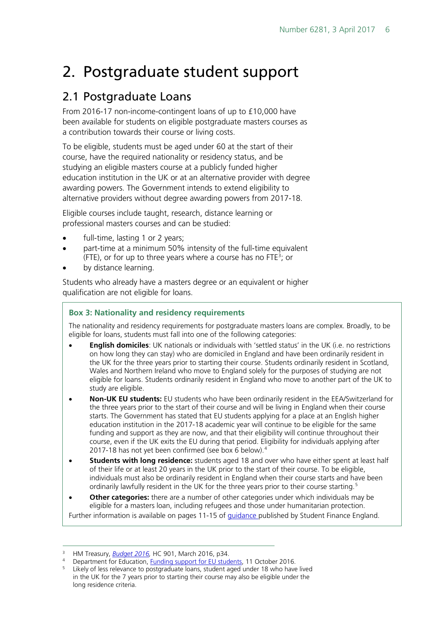# <span id="page-5-0"></span>2. Postgraduate student support

### <span id="page-5-1"></span>2.1 Postgraduate Loans

From 2016-17 non-income-contingent loans of up to £10,000 have been available for students on eligible postgraduate masters courses as a contribution towards their course or living costs.

To be eligible, students must be aged under 60 at the start of their course, have the required nationality or residency status, and be studying an eligible masters course at a publicly funded higher education institution in the UK or at an alternative provider with degree awarding powers. The Government intends to extend eligibility to alternative providers without degree awarding powers from 2017-18.

Eligible courses include taught, research, distance learning or professional masters courses and can be studied:

- full-time, lasting 1 or 2 years;
- part-time at a minimum 50% intensity of the full-time equivalent (FTE), or for up to three years where a course has no FTE<sup>[3](#page-5-2)</sup>; or
- by distance learning.

Students who already have a masters degree or an equivalent or higher qualification are not eligible for loans.

#### **Box 3: Nationality and residency requirements**

The nationality and residency requirements for postgraduate masters loans are complex. Broadly, to be eligible for loans, students must fall into one of the following categories:

- **English domiciles**: UK nationals or individuals with 'settled status' in the UK (i.e. no restrictions on how long they can stay) who are domiciled in England and have been ordinarily resident in the UK for the three years prior to starting their course. Students ordinarily resident in Scotland, Wales and Northern Ireland who move to England solely for the purposes of studying are not eligible for loans. Students ordinarily resident in England who move to another part of the UK to study are eligible.
- **Non-UK EU students:** EU students who have been ordinarily resident in the EEA/Switzerland for the three years prior to the start of their course and will be living in England when their course starts. The Government has stated that EU students applying for a place at an English higher education institution in the 2017-18 academic year will continue to be eligible for the same funding and support as they are now, and that their eligibility will continue throughout their course, even if the UK exits the EU during that period. Eligibility for individuals applying after 2017-18 has not yet been confirmed (see box 6 below).[4](#page-5-3)
- **Students with long residence:** students aged 18 and over who have either spent at least half of their life or at least 20 years in the UK prior to the start of their course. To be eligible, individuals must also be ordinarily resident in England when their course starts and have been ordinarily lawfully resident in the UK for the three years prior to their course starting.<sup>[5](#page-5-4)</sup>
- **Other categories:** there are a number of other categories under which individuals may be eligible for a masters loan, including refugees and those under humanitarian protection. Further information is available on pages 11-15 of *guidance* published by Student Finance England.

<span id="page-5-3"></span><span id="page-5-2"></span> <sup>3</sup> HM Treasury, *[Budget 2016,](https://www.gov.uk/government/uploads/system/uploads/attachment_data/file/508193/HMT_Budget_2016_Web_Accessible.pdf)* HC 901, March 2016, p34.

<sup>&</sup>lt;sup>4</sup> Department for Education, [Funding support for EU students,](https://www.gov.uk/government/news/funding-support-for-eu-students) 11 October 2016.

<span id="page-5-4"></span>Likely of less relevance to postgraduate loans, student aged under 18 who have lived in the UK for the 7 years prior to starting their course may also be eligible under the long residence criteria.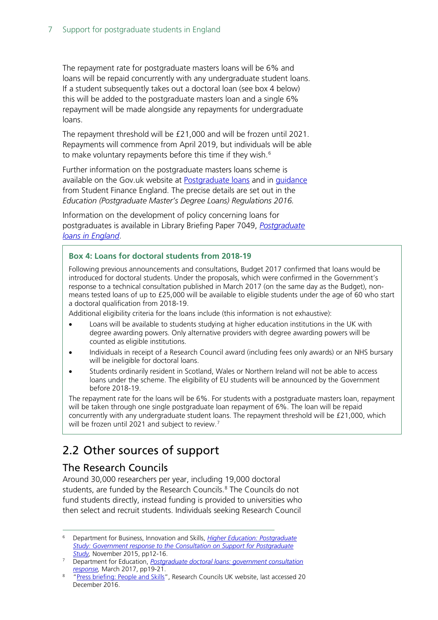The repayment rate for postgraduate masters loans will be 6% and loans will be repaid concurrently with any undergraduate student loans. If a student subsequently takes out a doctoral loan (see box 4 below) this will be added to the postgraduate masters loan and a single 6% repayment will be made alongside any repayments for undergraduate loans.

The repayment threshold will be £21,000 and will be frozen until 2021. Repayments will commence from April 2019, but individuals will be able to make voluntary repayments before this time if they wish. $6$ 

Further information on the postgraduate masters loans scheme is available on the Gov.uk website at [Postgraduate loans](https://www.gov.uk/postgraduate-loan/overview) and in [guidance](http://www.practitioners.slc.co.uk/media/7715/pgl-masters-guidance-2016-17.pdf) from Student Finance England. The precise details are set out in the *Education (Postgraduate Master's Degree Loans) Regulations 2016.*

Information on the development of policy concerning loans for postgraduates is available in Library Briefing Paper 7049, *[Postgraduate](http://researchbriefings.parliament.uk/ResearchBriefing/Summary/SN07049)  [loans in England](http://researchbriefings.parliament.uk/ResearchBriefing/Summary/SN07049)*.

#### **Box 4: Loans for doctoral students from 2018-19**

Following previous announcements and consultations, Budget 2017 confirmed that loans would be introduced for doctoral students. Under the proposals, which were confirmed in the Government's response to a technical consultation published in March 2017 (on the same day as the Budget), nonmeans tested loans of up to £25,000 will be available to eligible students under the age of 60 who start a doctoral qualification from 2018-19.

Additional eligibility criteria for the loans include (this information is not exhaustive):

- Loans will be available to students studying at higher education institutions in the UK with degree awarding powers. Only alternative providers with degree awarding powers will be counted as eligible institutions.
- Individuals in receipt of a Research Council award (including fees only awards) or an NHS bursary will be ineligible for doctoral loans.
- Students ordinarily resident in Scotland, Wales or Northern Ireland will not be able to access loans under the scheme. The eligibility of EU students will be announced by the Government before 2018-19.

The repayment rate for the loans will be 6%. For students with a postgraduate masters loan, repayment will be taken through one single postgraduate loan repayment of 6%. The loan will be repaid concurrently with any undergraduate student loans. The repayment threshold will be £21,000, which will be frozen until 2021 and subject to review.<sup>[7](#page-6-3)</sup>

### <span id="page-6-0"></span>2.2 Other sources of support

#### <span id="page-6-1"></span>The Research Councils

Around 30,000 researchers per year, including 19,000 doctoral students, are funded by the Research Councils.<sup>[8](#page-6-4)</sup> The Councils do not fund students directly, instead funding is provided to universities who then select and recruit students. Individuals seeking Research Council

<span id="page-6-2"></span> 6 Department for Business, Innovation and Skills, *[Higher Education: Postgraduate](https://www.gov.uk/government/uploads/system/uploads/attachment_data/file/479703/bis-15-573-support-postgraduate-study-response.pdf)  [Study: Government response to the Consultation on Support for Postgraduate](https://www.gov.uk/government/uploads/system/uploads/attachment_data/file/479703/bis-15-573-support-postgraduate-study-response.pdf)  [Study,](https://www.gov.uk/government/uploads/system/uploads/attachment_data/file/479703/bis-15-573-support-postgraduate-study-response.pdf)* November 2015, pp12-16.

<span id="page-6-3"></span><sup>7</sup> Department for Education, *[Postgraduate doctoral loans: government consultation](https://www.gov.uk/government/consultations/postgraduate-doctoral-loans)  [response,](https://www.gov.uk/government/consultations/postgraduate-doctoral-loans)* March 2017, pp19-21.

<span id="page-6-4"></span><sup>8</sup> ["Press briefing: People and Skills"](http://www.rcuk.ac.uk/media/brief/skills/), Research Councils UK website, last accessed 20 December 2016.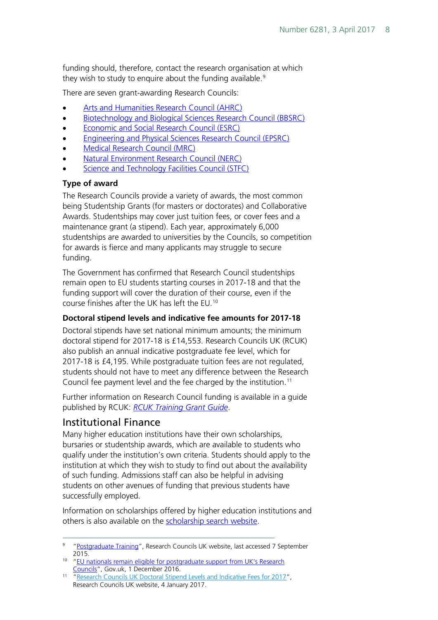funding should, therefore, contact the research organisation at which they wish to study to enguire about the funding available.<sup>[9](#page-7-1)</sup>

There are seven grant-awarding Research Councils:

- [Arts and Humanities Research Council \(AHRC\)](http://www.ahrc.ac.uk/skills/phdstudents/fundingandtraining/)
- [Biotechnology and Biological Sciences Research Council \(BBSRC\)](http://www.bbsrc.ac.uk/funding/studentships/)
- [Economic and Social Research Council \(ESRC\)](http://www.esrc.ac.uk/funding/guidance-for-applicants/)
- [Engineering and Physical Sciences Research Council \(EPSRC\)](https://www.epsrc.ac.uk/funding/howtoapply/fundingguide/)
- [Medical Research Council \(MRC\)](http://www.mrc.ac.uk/funding/guidance-for-applicants/)
- [Natural Environment Research Council \(NERC\)](http://www.nerc.ac.uk/funding/available/postgrad/)
- **[Science and Technology Facilities Council \(STFC\)](https://www.stfc.ac.uk/565.aspx)**

#### **Type of award**

The Research Councils provide a variety of awards, the most common being Studentship Grants (for masters or doctorates) and Collaborative Awards. Studentships may cover just tuition fees, or cover fees and a maintenance grant (a stipend). Each year, approximately 6,000 studentships are awarded to universities by the Councils, so competition for awards is fierce and many applicants may struggle to secure funding.

The Government has confirmed that Research Council studentships remain open to EU students starting courses in 2017-18 and that the funding support will cover the duration of their course, even if the course finishes after the UK has left the EU. [10](#page-7-2)

#### **Doctoral stipend levels and indicative fee amounts for 2017-18**

Doctoral stipends have set national minimum amounts; the minimum doctoral stipend for 2017-18 is £14,553. Research Councils UK (RCUK) also publish an annual indicative postgraduate fee level, which for 2017-18 is £4,195. While postgraduate tuition fees are not regulated, students should not have to meet any difference between the Research Council fee payment level and the fee charged by the institution.<sup>[11](#page-7-3)</sup>

Further information on Research Council funding is available in a guide published by RCUK: *[RCUK Training Grant Guide](http://www.rcuk.ac.uk/documents/publications/traininggrantguidance-pdf/)*.

#### <span id="page-7-0"></span>Institutional Finance

Many higher education institutions have their own scholarships, bursaries or studentship awards, which are available to students who qualify under the institution's own criteria. Students should apply to the institution at which they wish to study to find out about the availability of such funding. Admissions staff can also be helpful in advising students on other avenues of funding that previous students have successfully employed.

Information on scholarships offered by higher education institutions and others is also available on the [scholarship search website.](http://www.scholarship-search.org.uk/)

<span id="page-7-1"></span><sup>&</sup>lt;sup>9</sup> ["Postgraduate Training"](http://www.rcuk.ac.uk/skills/postgrad/), Research Councils UK website, last accessed 7 September 2015.

<span id="page-7-2"></span><sup>&</sup>lt;sup>10</sup> "EU nationals remain eligible for postgraduate support from UK's Research [Councils"](https://www.gov.uk/government/news/eu-nationals-remain-eligible-for-postgraduate-support-from-uks-research-councils?mc_cid=ef76acd86e&mc_eid=2766048171), Gov.uk, 1 December 2016.

<span id="page-7-3"></span><sup>&</sup>lt;sup>11</sup> ["Research Councils UK Doctoral Stipend Levels and Indicative Fees for 2017"](http://www.rcuk.ac.uk/media/news/170104/), Research Councils UK website, 4 January 2017.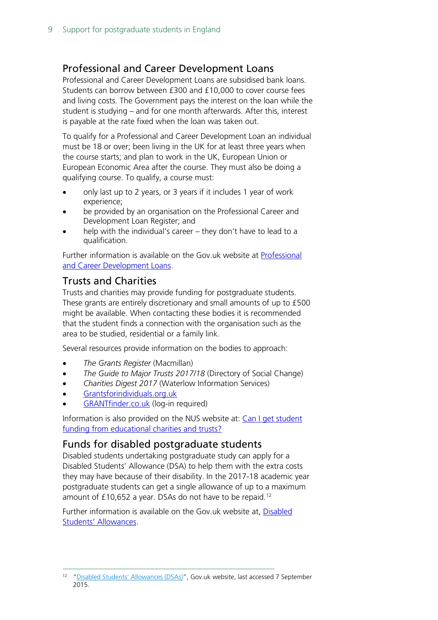#### <span id="page-8-0"></span>Professional and Career Development Loans

Professional and Career Development Loans are subsidised bank loans. Students can borrow between £300 and £10,000 to cover course fees and living costs. The Government pays the interest on the loan while the student is studying – and for one month afterwards. After this, interest is payable at the rate fixed when the loan was taken out.

To qualify for a Professional and Career Development Loan an individual must be 18 or over; been living in the UK for at least three years when the course starts; and plan to work in the UK, European Union or European Economic Area after the course. They must also be doing a qualifying course. To qualify, a course must:

- only last up to 2 years, or 3 years if it includes 1 year of work experience;
- be provided by an organisation on the Professional Career and Development Loan Register; and
- help with the individual's career they don't have to lead to a qualification.

Further information is available on the Gov.uk website at [Professional](https://www.gov.uk/career-development-loans/eligibility)  [and Career Development Loans.](https://www.gov.uk/career-development-loans/eligibility)

#### <span id="page-8-1"></span>Trusts and Charities

Trusts and charities may provide funding for postgraduate students. These grants are entirely discretionary and small amounts of up to £500 might be available. When contacting these bodies it is recommended that the student finds a connection with the organisation such as the area to be studied, residential or a family link.

Several resources provide information on the bodies to approach:

- *The Grants Register* (Macmillan)
- *The Guide to Major Trusts 2017/18* (Directory of Social Change)
- *Charities Digest 2017* (Waterlow Information Services)
- [Grantsforindividuals.org.uk](http://www.grantsforindividuals.org.uk/search.aspx)
- [GRANTfinder.co.uk](http://www.grantfinder.co.uk/) (log-in required)

Information is also provided on the NUS website at: [Can I get student](https://www.nus.org.uk/en/advice/money-and-funding/can-i-get-student-funding-from-educational-charities-and-trusts/)  [funding from educational charities and trusts?](https://www.nus.org.uk/en/advice/money-and-funding/can-i-get-student-funding-from-educational-charities-and-trusts/)

#### <span id="page-8-2"></span>Funds for disabled postgraduate students

Disabled students undertaking postgraduate study can apply for a Disabled Students' Allowance (DSA) to help them with the extra costs they may have because of their disability. In the 2017-18 academic year postgraduate students can get a single allowance of up to a maximum amount of £10,652 a year. DSAs do not have to be repaid.<sup>[12](#page-8-3)</sup>

Further information is available on the Gov.uk website at, [Disabled](https://www.gov.uk/disabled-students-allowances-dsas)  [Students' Allowances.](https://www.gov.uk/disabled-students-allowances-dsas)

<span id="page-8-3"></span> <sup>12</sup> ["Disabled Students' Allowances \(DSAs\)"](https://www.gov.uk/disabled-students-allowances-dsas/what-youll-get), Gov.uk website, last accessed 7 September 2015.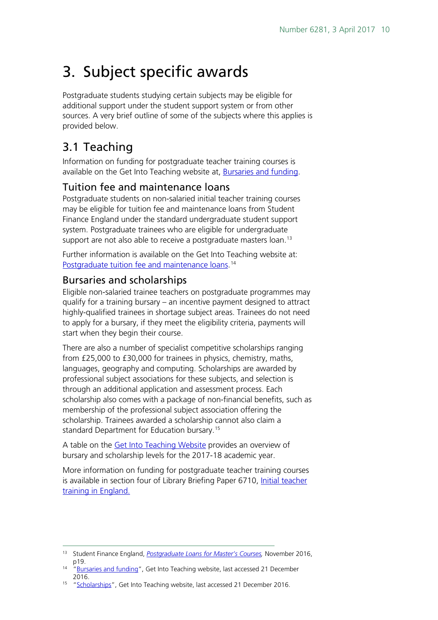# <span id="page-9-0"></span>3. Subject specific awards

Postgraduate students studying certain subjects may be eligible for additional support under the student support system or from other sources. A very brief outline of some of the subjects where this applies is provided below.

## <span id="page-9-1"></span>3.1 Teaching

Information on funding for postgraduate teacher training courses is available on the Get Into Teaching website at, [Bursaries and funding.](https://getintoteaching.education.gov.uk/bursaries-and-funding)

### <span id="page-9-2"></span>Tuition fee and maintenance loans

Postgraduate students on non-salaried initial teacher training courses may be eligible for tuition fee and maintenance loans from Student Finance England under the standard undergraduate student support system. Postgraduate trainees who are eligible for undergraduate support are not also able to receive a postgraduate masters loan.<sup>[13](#page-9-4)</sup>

Further information is available on the Get Into Teaching website at: [Postgraduate tuition fee and maintenance loans.](file://HPAP03F/DIS/Homedrives/fosterda/Briefing%20Papers/Postgraduate%20tuition%20fee%20and%20maintenance%20loans)<sup>[14](#page-9-5)</sup>

#### <span id="page-9-3"></span>Bursaries and scholarships

Eligible non-salaried trainee teachers on postgraduate programmes may qualify for a training bursary – an incentive payment designed to attract highly-qualified trainees in shortage subject areas. Trainees do not need to apply for a bursary, if they meet the eligibility criteria, payments will start when they begin their course.

There are also a number of specialist competitive scholarships ranging from £25,000 to £30,000 for trainees in physics, chemistry, maths, languages, geography and computing. Scholarships are awarded by professional subject associations for these subjects, and selection is through an additional application and assessment process. Each scholarship also comes with a package of non-financial benefits, such as membership of the professional subject association offering the scholarship. Trainees awarded a scholarship cannot also claim a standard Department for Education bursary.<sup>[15](#page-9-6)</sup>

A table on the [Get Into Teaching Website](https://getintoteaching.education.gov.uk/funding-and-salary/overview) provides an overview of bursary and scholarship levels for the 2017-18 academic year.

More information on funding for postgraduate teacher training courses is available in section four of Library Briefing Paper 6710, [Initial teacher](http://www.parliament.uk/business/publications/research/briefing-papers/SN06710/initial-teacher-training-in-england)  [training in England.](http://www.parliament.uk/business/publications/research/briefing-papers/SN06710/initial-teacher-training-in-england)

<span id="page-9-4"></span> <sup>13</sup> Student Finance England, *[Postgraduate Loans for Master's Courses,](http://www.practitioners.slc.co.uk/media/7715/pgl-masters-guidance-2016-17.pdf)* November 2016,

<span id="page-9-5"></span><sup>&</sup>lt;sup>14</sup> ["Bursaries and funding"](https://getintoteaching.education.gov.uk/funding-and-salary/overview), Get Into Teaching website, last accessed 21 December 2016.

<span id="page-9-6"></span><sup>&</sup>lt;sup>15</sup> ["Scholarships"](https://getintoteaching.education.gov.uk/funding-and-salary/overview/scholarships), Get Into Teaching website, last accessed 21 December 2016.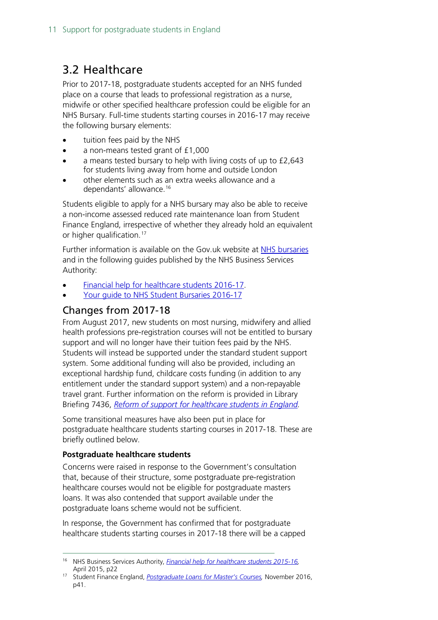### <span id="page-10-0"></span>3.2 Healthcare

Prior to 2017-18, postgraduate students accepted for an NHS funded place on a course that leads to professional registration as a nurse, midwife or other specified healthcare profession could be eligible for an NHS Bursary. Full-time students starting courses in 2016-17 may receive the following bursary elements:

- tuition fees paid by the NHS
- a non-means tested grant of £1,000
- a means tested bursary to help with living costs of up to £2,643 for students living away from home and outside London
- other elements such as an extra weeks allowance and a dependants' allowance.<sup>[16](#page-10-2)</sup>

Students eligible to apply for a NHS bursary may also be able to receive a non-income assessed reduced rate maintenance loan from Student Finance England, irrespective of whether they already hold an equivalent or higher qualification.<sup>[17](#page-10-3)</sup>

Further information is available on the Gov.uk website at [NHS bursaries](https://www.gov.uk/nhs-bursaries/overview) and in the following guides published by the NHS Business Services Authority:

- [Financial help for healthcare students 2016-17.](http://www.nhsbsa.nhs.uk/Students/Documents/Students/Financial_help_for_healthcare_students_2016-17_(V1)_digital_05.2016.pdf)
- [Your guide to NHS Student Bursaries 2016-17](http://www.nhsbsa.nhs.uk/Documents/Students/Your_guide_to_NHS_Student_Bursaries_2016_-17_(V1)_09.2015_Web.pdf)

#### <span id="page-10-1"></span>Changes from 2017-18

From August 2017, new students on most nursing, midwifery and allied health professions pre-registration courses will not be entitled to bursary support and will no longer have their tuition fees paid by the NHS. Students will instead be supported under the standard student support system. Some additional funding will also be provided, including an exceptional hardship fund, childcare costs funding (in addition to any entitlement under the standard support system) and a non-repayable travel grant. Further information on the reform is provided in Library Briefing 7436, *[Reform of support for healthcare students in England.](http://researchbriefings.parliament.uk/ResearchBriefing/Summary/CBP-7436#fullreport)*

Some transitional measures have also been put in place for postgraduate healthcare students starting courses in 2017-18. These are briefly outlined below.

#### **Postgraduate healthcare students**

Concerns were raised in response to the Government's consultation that, because of their structure, some postgraduate pre-registration healthcare courses would not be eligible for postgraduate masters loans. It was also contended that support available under the postgraduate loans scheme would not be sufficient.

In response, the Government has confirmed that for postgraduate healthcare students starting courses in 2017-18 there will be a capped

<span id="page-10-2"></span> <sup>16</sup> NHS Business Services Authority, *[Financial help for healthcare students 2015-16,](http://www.nhsbsa.nhs.uk/Documents/Students/Financial_help_for_healthcare_students_2015-16_(V1)_04.2015.pdf)*  April 2015, p22

<span id="page-10-3"></span><sup>17</sup> Student Finance England, *[Postgraduate Loans for Master's Courses,](http://www.practitioners.slc.co.uk/media/7715/pgl-masters-guidance-2016-17.pdf)* November 2016, p41.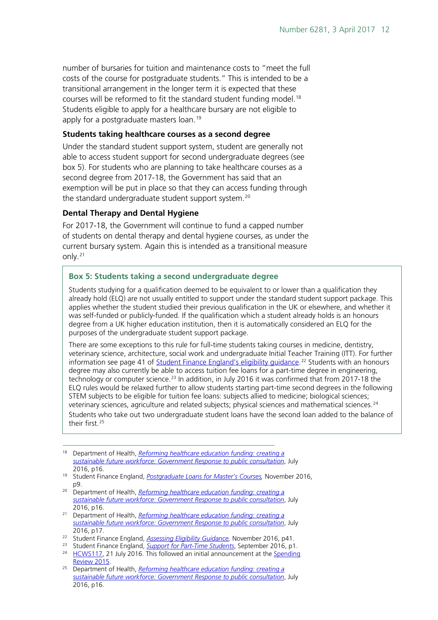number of bursaries for tuition and maintenance costs to "meet the full costs of the course for postgraduate students." This is intended to be a transitional arrangement in the longer term it is expected that these courses will be reformed to fit the standard student funding model. [18](#page-11-0) Students eligible to apply for a healthcare bursary are not eligible to apply for a postgraduate masters loan.<sup>[19](#page-11-1)</sup>

#### **Students taking healthcare courses as a second degree**

Under the standard student support system, student are generally not able to access student support for second undergraduate degrees (see box 5). For students who are planning to take healthcare courses as a second degree from 2017-18, the Government has said that an exemption will be put in place so that they can access funding through the standard undergraduate student support system.<sup>[20](#page-11-2)</sup>

#### **Dental Therapy and Dental Hygiene**

For 2017-18, the Government will continue to fund a capped number of students on dental therapy and dental hygiene courses, as under the current bursary system. Again this is intended as a transitional measure only.[21](#page-11-3)

#### **Box 5: Students taking a second undergraduate degree**

Students studying for a qualification deemed to be equivalent to or lower than a qualification they already hold (ELQ) are not usually entitled to support under the standard student support package. This applies whether the student studied their previous qualification in the UK or elsewhere, and whether it was self-funded or publicly-funded. If the qualification which a student already holds is an honours degree from a UK higher education institution, then it is automatically considered an ELQ for the purposes of the undergraduate student support package.

There are some exceptions to this rule for full-time students taking courses in medicine, dentistry, veterinary science, architecture, social work and undergraduate Initial Teacher Training (ITT). For further information see page 41 of <u>Student Finance England's eligibility guidance</u>.<sup>[22](#page-11-4)</sup> Students with an honours degree may also currently be able to access tuition fee loans for a part-time degree in engineering, technology or computer science.<sup>[23](#page-11-5)</sup> In addition, in July 2016 it was confirmed that from 2017-18 the ELQ rules would be relaxed further to allow students starting part-time second degrees in the following STEM subjects to be eligible for tuition fee loans: subjects allied to medicine; biological sciences; veterinary sciences, agriculture and related subjects; physical sciences and mathematical sciences.<sup>[24](#page-11-6)</sup> Students who take out two undergraduate student loans have the second loan added to the balance of their first. [25](#page-11-7)

- <span id="page-11-2"></span><sup>20</sup> Department of Health, *[Reforming healthcare education funding: creating a](https://www.gov.uk/government/uploads/system/uploads/attachment_data/file/539774/health-education-funding-response.pdf)  [sustainable future workforce: Government Response to public consultation](https://www.gov.uk/government/uploads/system/uploads/attachment_data/file/539774/health-education-funding-response.pdf)*, July 2016, p16.
- <span id="page-11-3"></span><sup>21</sup> Department of Health, *[Reforming healthcare education funding: creating a](https://www.gov.uk/government/uploads/system/uploads/attachment_data/file/539774/health-education-funding-response.pdf)  [sustainable future workforce: Government Response to public consultation](https://www.gov.uk/government/uploads/system/uploads/attachment_data/file/539774/health-education-funding-response.pdf)*, July 2016, p17.
- <span id="page-11-4"></span><sup>22</sup> Student Finance England, *[Assessing Eligibility Guidance,](http://www.practitioners.slc.co.uk/media/7781/sfe-1617-assessing-eligibility-guidance-v-13.pdf)* November 2016, p41.
- <span id="page-11-5"></span><sup>23</sup> Student Finance England, *[Support for Part-Time Students](http://www.practitioners.slc.co.uk/media/7465/sfe-1617-part-time-support-may-final-11-sept.pdf)*, September 2016, p1.
- <span id="page-11-6"></span><sup>24</sup> [HCWS117,](https://www.parliament.uk/business/publications/written-questions-answers-statements/written-statement/Commons/2016-07-21/HCWS117/) 21 July 2016. This followed an initial announcement at the Spending [Review 2015.](https://www.gov.uk/government/topical-events/autumn-statement-and-spending-review-2015)
- <span id="page-11-7"></span><sup>25</sup> Department of Health, *[Reforming healthcare education funding: creating a](https://www.gov.uk/government/uploads/system/uploads/attachment_data/file/539774/health-education-funding-response.pdf)  [sustainable future workforce: Government Response to public consultation](https://www.gov.uk/government/uploads/system/uploads/attachment_data/file/539774/health-education-funding-response.pdf)*, July 2016, p16.

<span id="page-11-0"></span> <sup>18</sup> Department of Health, *[Reforming healthcare education funding: creating a](https://www.gov.uk/government/uploads/system/uploads/attachment_data/file/539774/health-education-funding-response.pdf)  [sustainable future workforce: Government Response to public consultation](https://www.gov.uk/government/uploads/system/uploads/attachment_data/file/539774/health-education-funding-response.pdf)*, July 2016, p16.

<span id="page-11-1"></span><sup>19</sup> Student Finance England, *[Postgraduate Loans for Master's Courses,](http://www.practitioners.slc.co.uk/media/7715/pgl-masters-guidance-2016-17.pdf)* November 2016, p9.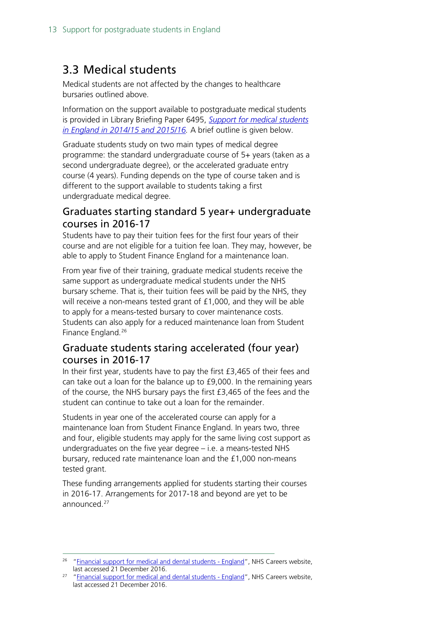### <span id="page-12-0"></span>3.3 Medical students

Medical students are not affected by the changes to healthcare bursaries outlined above.

Information on the support available to postgraduate medical students is provided in Library Briefing Paper 6495, *[Support for medical students](http://researchbriefings.files.parliament.uk/documents/SN06495/SN06495.pdf)  [in England in 2014/15 and 2015/16.](http://researchbriefings.files.parliament.uk/documents/SN06495/SN06495.pdf)* A brief outline is given below.

Graduate students study on two main types of medical degree programme: the standard undergraduate course of 5+ years (taken as a second undergraduate degree), or the accelerated graduate entry course (4 years). Funding depends on the type of course taken and is different to the support available to students taking a first undergraduate medical degree.

#### <span id="page-12-1"></span>Graduates starting standard 5 year+ undergraduate courses in 2016-17

Students have to pay their tuition fees for the first four years of their course and are not eligible for a tuition fee loan. They may, however, be able to apply to Student Finance England for a maintenance loan.

From year five of their training, graduate medical students receive the same support as undergraduate medical students under the NHS bursary scheme. That is, their tuition fees will be paid by the NHS, they will receive a non-means tested grant of £1,000, and they will be able to apply for a means-tested bursary to cover maintenance costs. Students can also apply for a reduced maintenance loan from Student Finance England.[26](#page-12-3)

#### <span id="page-12-2"></span>Graduate students staring accelerated (four year) courses in 2016-17

In their first year, students have to pay the first £3,465 of their fees and can take out a loan for the balance up to £9,000. In the remaining years of the course, the NHS bursary pays the first £3,465 of the fees and the student can continue to take out a loan for the remainder.

Students in year one of the accelerated course can apply for a maintenance loan from Student Finance England. In years two, three and four, eligible students may apply for the same living cost support as undergraduates on the five year degree – i.e. a means-tested NHS bursary, reduced rate maintenance loan and the £1,000 non-means tested grant.

These funding arrangements applied for students starting their courses in 2016-17. Arrangements for 2017-18 and beyond are yet to be announced.<sup>[27](#page-12-4)</sup>

<span id="page-12-3"></span><sup>&</sup>lt;sup>26</sup> ["Financial support for medical and dental students -](https://www.healthcareers.nhs.uk/i-am/considering-or-university/financial-support-university/financial-support-medical-and-dental) England", NHS Careers website, last accessed 21 December 2016.

<span id="page-12-4"></span> $27$  ["Financial support for medical and dental students -](https://www.healthcareers.nhs.uk/i-am/considering-or-university/financial-support-university/financial-support-medical-and-dental) England", NHS Careers website, last accessed 21 December 2016.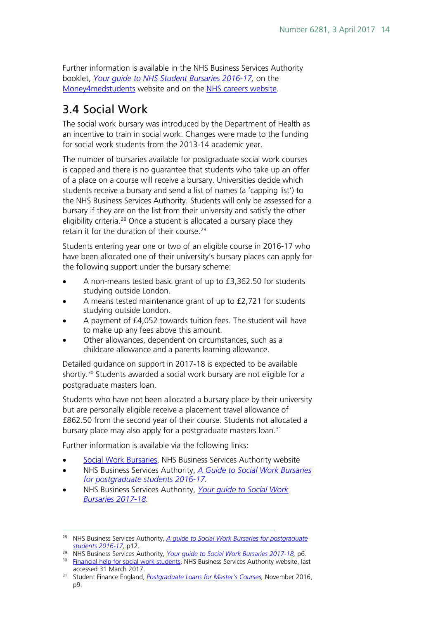Further information is available in the NHS Business Services Authority booklet, *[Your guide to NHS Student Bursaries 2016-17,](http://www.nhsbsa.nhs.uk/Documents/Students/Your_guide_to_NHS_Student_Bursaries_2016_-17_(V1)_09.2015_Web.pdf)* on the Money4 medstudents website and on the [NHS careers website.](https://www.healthcareers.nhs.uk/i-am/considering-or-university/financial-support-university/financial-support-medical-and-dental)

### <span id="page-13-0"></span>3.4 Social Work

The social work bursary was introduced by the Department of Health as an incentive to train in social work. Changes were made to the funding for social work students from the 2013-14 academic year.

The number of bursaries available for postgraduate social work courses is capped and there is no guarantee that students who take up an offer of a place on a course will receive a bursary. Universities decide which students receive a bursary and send a list of names (a 'capping list') to the NHS Business Services Authority. Students will only be assessed for a bursary if they are on the list from their university and satisfy the other eligibility criteria.<sup>[28](#page-13-1)</sup> Once a student is allocated a bursary place they retain it for the duration of their course.<sup>[29](#page-13-2)</sup>

Students entering year one or two of an eligible course in 2016-17 who have been allocated one of their university's bursary places can apply for the following support under the bursary scheme:

- A non-means tested basic grant of up to £3,362.50 for students studying outside London.
- A means tested maintenance grant of up to £2,721 for students studying outside London.
- A payment of £4,052 towards tuition fees. The student will have to make up any fees above this amount.
- Other allowances, dependent on circumstances, such as a childcare allowance and a parents learning allowance.

Detailed guidance on support in 2017-18 is expected to be available shortly.<sup>[30](#page-13-3)</sup> Students awarded a social work bursary are not eligible for a postgraduate masters loan.

Students who have not been allocated a bursary place by their university but are personally eligible receive a placement travel allowance of £862.50 from the second year of their course. Students not allocated a bursary place may also apply for a postgraduate masters loan.<sup>[31](#page-13-4)</sup>

Further information is available via the following links:

- [Social Work Bursaries,](http://www.nhsbsa.nhs.uk/Students/825.aspx) NHS Business Services Authority website
- NHS Business Services Authority, *A [Guide to Social Work Bursaries](http://www.nhsbsa.nhs.uk/Students/Documents/Students/A_guide_to_Social_Work_Bursaries_for_postgraduate_students_2016-17_(V2)_Digital_09.2016.pdf)  [for postgraduate students 2016-17.](http://www.nhsbsa.nhs.uk/Students/Documents/Students/A_guide_to_Social_Work_Bursaries_for_postgraduate_students_2016-17_(V2)_Digital_09.2016.pdf)*
- NHS Business Services Authority, *[Your guide to Social Work](http://www.nhsbsa.nhs.uk/Students/Documents/Students/Your_guide_to_Social_Work_Bursaries_2017-18_(V1)_09.2016.pdf)  [Bursaries 2017-18.](http://www.nhsbsa.nhs.uk/Students/Documents/Students/Your_guide_to_Social_Work_Bursaries_2017-18_(V1)_09.2016.pdf)*

<span id="page-13-1"></span> <sup>28</sup> NHS Business Services Authority, *[A guide to Social Work Bursaries for postgraduate](http://www.nhsbsa.nhs.uk/Students/Documents/Students/A_guide_to_Social_Work_Bursaries_for_postgraduate_students_2016-17_(V2)_Digital_09.2016.pdf)  [students 2016-17,](http://www.nhsbsa.nhs.uk/Students/Documents/Students/A_guide_to_Social_Work_Bursaries_for_postgraduate_students_2016-17_(V2)_Digital_09.2016.pdf)* p12.

<span id="page-13-2"></span><sup>29</sup> NHS Business Services Authority, *[Your guide to Social Work Bursaries 2017-18,](http://www.nhsbsa.nhs.uk/Students/Documents/Students/Your_guide_to_Social_Work_Bursaries_2017-18_(V1)_09.2016.pdf)* p6.

<span id="page-13-3"></span><sup>&</sup>lt;sup>30</sup> [Financial help for social work students,](http://www.nhsbsa.nhs.uk/Students/4860.aspx) NHS Business Services Authority website, last accessed 31 March 2017.

<span id="page-13-4"></span><sup>31</sup> Student Finance England, *[Postgraduate Loans for Master's Courses,](http://www.practitioners.slc.co.uk/media/7715/pgl-masters-guidance-2016-17.pdf)* November 2016, p9.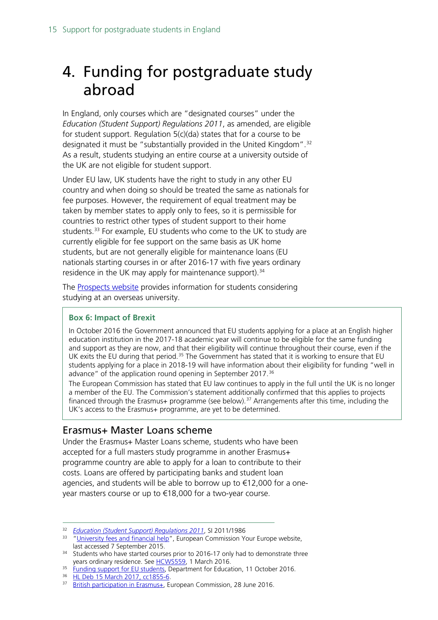# <span id="page-14-0"></span>4. Funding for postgraduate study abroad

In England, only courses which are "designated courses" under the *Education (Student Support) Regulations 2011*, as amended, are eligible for student support. Regulation 5(c)(da) states that for a course to be designated it must be "substantially provided in the United Kingdom".<sup>[32](#page-14-2)</sup> As a result, students studying an entire course at a university outside of the UK are not eligible for student support.

Under EU law, UK students have the right to study in any other EU country and when doing so should be treated the same as nationals for fee purposes. However, the requirement of equal treatment may be taken by member states to apply only to fees, so it is permissible for countries to restrict other types of student support to their home students.<sup>[33](#page-14-3)</sup> For example, EU students who come to the UK to study are currently eligible for fee support on the same basis as UK home students, but are not generally eligible for maintenance loans (EU nationals starting courses in or after 2016-17 with five years ordinary residence in the UK may apply for maintenance support).<sup>[34](#page-14-4)</sup>

The [Prospects website](http://www.prospects.ac.uk/studying_abroad.htm) provides information for students considering studying at an overseas university.

#### **Box 6: Impact of Brexit**

In October 2016 the Government announced that EU students applying for a place at an English higher education institution in the 2017-18 academic year will continue to be eligible for the same funding and support as they are now, and that their eligibility will continue throughout their course, even if the UK exits the EU during that period.<sup>[35](#page-14-5)</sup> The Government has stated that it is working to ensure that EU students applying for a place in 2018-19 will have information about their eligibility for funding "well in advance" of the application round opening in September 2017.<sup>[36](#page-14-6)</sup>

The European Commission has stated that EU law continues to apply in the full until the UK is no longer a member of the EU. The Commission's statement additionally confirmed that this applies to projects financed through the Erasmus+ programme (see below).<sup>[37](#page-14-7)</sup> Arrangements after this time, including the UK's access to the Erasmus+ programme, are yet to be determined.

#### <span id="page-14-1"></span>Erasmus+ Master Loans scheme

Under the Erasmus+ Master Loans scheme, students who have been accepted for a full masters study programme in another Erasmus+ programme country are able to apply for a loan to contribute to their costs. Loans are offered by participating banks and student loan agencies, and students will be able to borrow up to €12,000 for a oneyear masters course or up to €18,000 for a two-year course.

<span id="page-14-6"></span> $\frac{36}{37}$  [HL Deb 15 March 2017, cc1855-6.](https://hansard.parliament.uk/Lords/2017-03-15/debates/10F2A1E7-55A3-4F90-9384-57EEFB37CF6D/UniversitiesEuropeanUnionStudents#contribution-79E52FB9-055C-4B36-B571-8B6B553B19CE)

<span id="page-14-2"></span> <sup>32</sup> *[Education \(Student Support\) Regulations 201](http://www.opsi.gov.uk/si/si2009/uksi_20091555_en_3)1*, SI 2011/1986

<span id="page-14-3"></span><sup>&</sup>lt;sup>33</sup> ["University fees and financial help"](http://europa.eu/youreurope/citizens/education/university/fees-and-financial-help/index_en.htm), European Commission Your Europe website, last accessed 7 September 2015.

<span id="page-14-4"></span><sup>&</sup>lt;sup>34</sup> Students who have started courses prior to 2016-17 only had to demonstrate three years ordinary residence. See  $HCWS559$ , 1 March 2016.

<span id="page-14-5"></span><sup>&</sup>lt;sup>35</sup> [Funding support for EU students,](https://www.gov.uk/government/news/funding-support-for-eu-students) Department for Education, 11 October 2016.

<span id="page-14-7"></span><sup>37</sup> [British participation in Erasmus+,](https://ec.europa.eu/programmes/erasmus-plus/updates/20160628-british-participation-erasmus-plus_en) European Commission, 28 June 2016.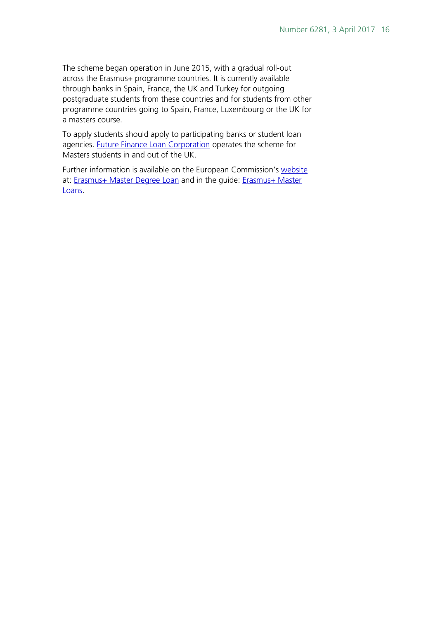The scheme began operation in June 2015, with a gradual roll-out across the Erasmus+ programme countries. It is currently available through banks in Spain, France, the UK and Turkey for outgoing postgraduate students from these countries and for students from other programme countries going to Spain, France, Luxembourg or the UK for a masters course.

To apply students should apply to participating banks or student loan agencies. [Future Finance Loan Corporation](https://www.futurefinance.com/uk/pages/eif/) operates the scheme for Masters students in and out of the UK.

Further information is available on the European Commission's [website](http://ec.europa.eu/education/opportunities/higher-education/masters-loans_en.htm) at: [Erasmus+ Master Degree Loan](http://ec.europa.eu/programmes/erasmus-plus/opportunities-for-individuals/students/erasmus-plus-master-degree-loans_en) and in the guide: Erasmus+ Master [Loans.](http://ec.europa.eu/education/opportunities/higher-education/doc/erasmus-plus-master-loan_en.pdf)